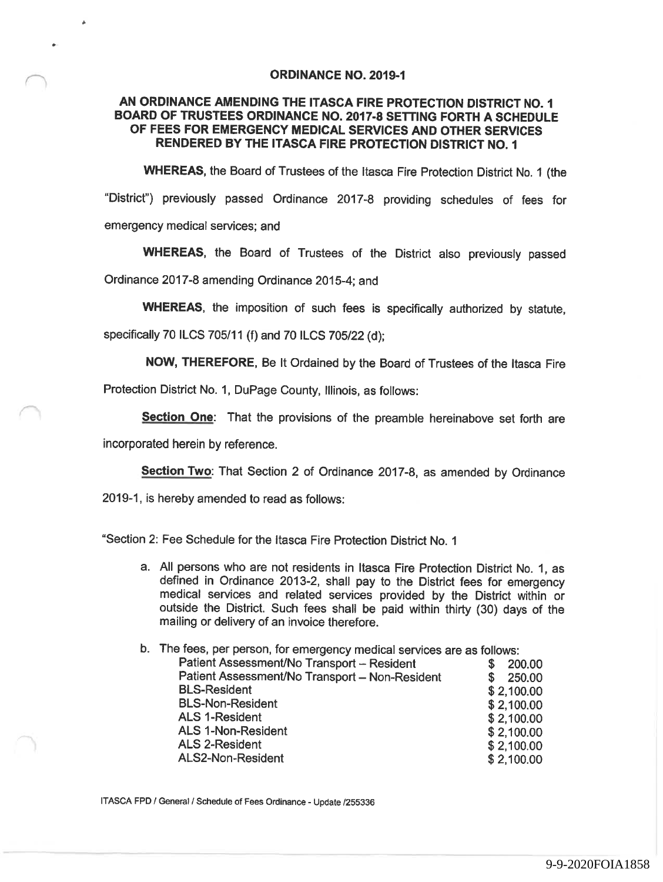#### ORDINANCE NO. 2019-1

# AN ORDINANCE AMENDING THE ITASCA FIRE PROTECTION DISTRICT NO. BOARD OF TRUSTEES ORDINANCE NO. 2017-8 SETTING FORTH A SCHEDULE OF FEES FOR EMERGENCY MEDICAL SERVICES AND OTHER SERVICES RENDERED BY THE ITASCA FIRE PROTECTION DISTRICT NO.

WHEREAS, the Board of Trustees of the Itasca Fire Protection District No. 1 (the "District') previously passed Ordinance 2017-8 providing schedules of fees for emergency medical services; and

WHEREAS, the Board of Trustees of the District also previously passed Ordinance 2017-8 amending Ordinance 2015-4; and

WHEREAS, the imposition of such fees is specifically authorized by statute,

specifically 70 ILCS 705/11 (f) and 70 ILCS 705/22 (d);

NOW, THEREFORE, Be It Ordained by the Board of Trustees of the Itasca Fire

Protection District No. 1, DuPage County, lllinois, as follows:

Section One: That the provisions of the preamble hereinabove set forth are

incorporated herein by reference.

Section Two: That Section 2 of Ordinance 2017-8, as amended by Ordinance

2019-1, is hereby amended to read as follows:

"Section 2: Fee Schedule for the Itasca Fire Protection District No.

a. All persons who are not residents in Itasca Fire Protection District No. 1, as defined in Ordinance 2013-2, shall pay to the District fees for emergency medical services and related services provided by the District within or outside the District. Such fees shall be paid within thirty (30) days of the mailing or delivery of an invoice therefore.

| b. The fees, per person, for emergency medical services are as follows: |             |
|-------------------------------------------------------------------------|-------------|
| Patient Assessment/No Transport - Resident                              | 200,00      |
| Patient Assessment/No Transport - Non-Resident                          | 250.00<br>S |
| <b>BLS-Resident</b>                                                     | \$2,100.00  |
| <b>BLS-Non-Resident</b>                                                 | \$2,100.00  |
| <b>ALS 1-Resident</b>                                                   | \$2,100.00  |
| <b>ALS 1-Non-Resident</b>                                               | \$2,100.00  |
| <b>ALS 2-Resident</b>                                                   | \$2,100.00  |
| ALS2-Non-Resident                                                       | \$2,100.00  |
|                                                                         |             |

ITASCA FPD / General / Schedule of Fees Ordinance - Update /255336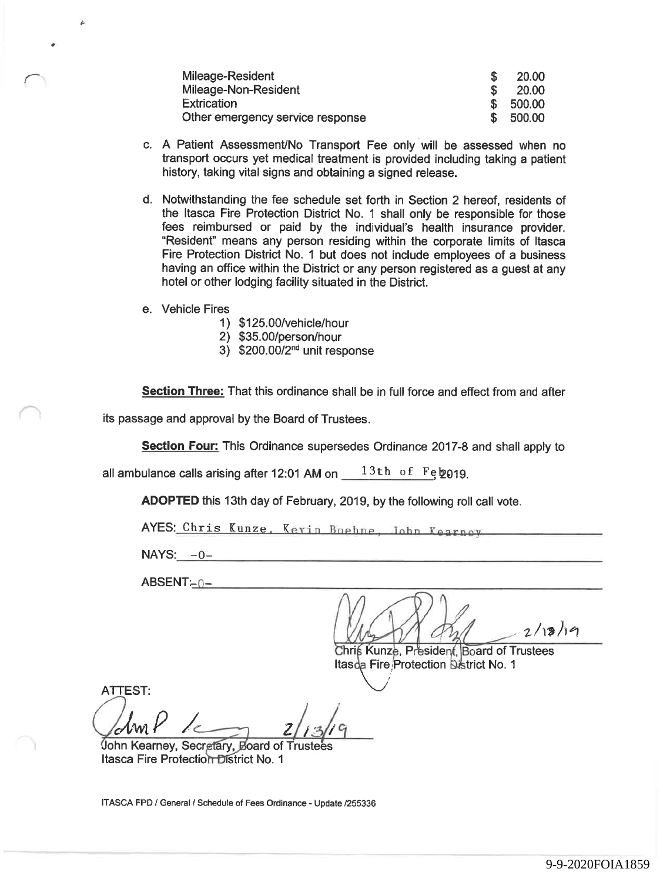| Mileage-Resident                 |     | <b>20.00</b> |
|----------------------------------|-----|--------------|
| Mileage-Non-Resident             |     | 20.00        |
| <b>Extrication</b>               | \$. | 500.00       |
| Other emergency service response | \$. | 500.00       |

- c. A Patient Assessment/No Transport Fee only will be assessed when no transport occurs yet medical treatment is provided including taking a patient history, taking vital signs and obtaining a signed release.
- d. Notwithstanding the fee schedule set forth in Section 2 hereof, residents of the Itasca Fire Protection District No. 1 shall only be responsible for those fees reimbursed or paid by the individual's health insurance provider. "Resident' means any person residing within the corporate limits of Itasca Fire Protection District No. 1 but does not include employees of a business having an office within the District or any person registered as a guest at any hotel or other lodging facility situated in the District.
- e. Vehicle Fires
	- 1) \$125.00/vehicle/hour
	- 2) \$35.00/person/hour
	- 3) \$200.00/2™ unit response

Section Three: That this ordinance shall be in full force and effect from and after

its passage and approval by the Board of Trustees.

Section Four: This Ordinance supersedes Ordinance 2017-8 and shall apply to

all ambulance calls arising after 12:01 AM on  $13th$  of Feb 019.

ADOPTED this 13th day of February, 2019, by the following roll call vote.

AYES: Chris Kunze, Kevin Boehne, Iohn Kearney

 $NAYS: -0$ -

 $ABSENT-0-$ 

West dad Lisher Christian Christian 2/13/19

Itasda Fire Protection District No. 1

ATTEST:  $\bigcup_{c}$  MM

John Kearney, Secretary, Board of Trustees Itasca Fire Protection District No. 1

ITASCA FPD / General / Schedule of Fees Ordinance - Update /255336